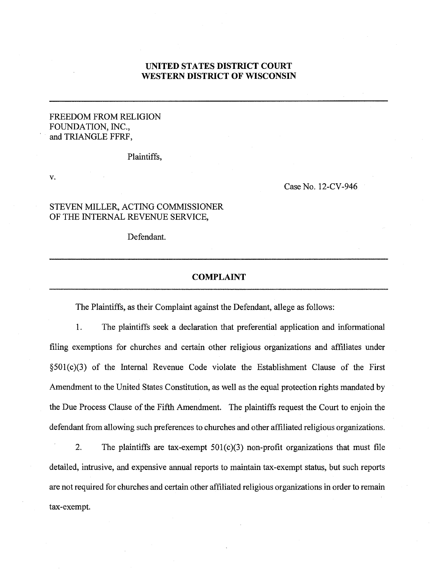## **UNITED STATES DISTRICT COURT WESTERN DISTRICT OF WISCONSIN**

### FREEDOM FROM RELIGION FOUNDATION, INC., and TRIANGLE FFRF,

Plaintiffs,

v.

Case No. 12-CV-946

### STEVEN MILLER, ACTING COMMISSIONER OF THE INTERNAL REVENUE SERVICE,

Defendant.

#### **COMPLAINT**

The Plaintiffs, as their Complaint against the Defendant, allege as follows:

1. The plaintiffs seek a declaration that preferential application and informational filing exemptions for churches and certain other religious organizations and affiliates under §501(c)(3) of the Internal Revenue Code violate the Establishment Clause of the First Amendment to the United States Constitution, as well as the equal protection rights mandated by the Due Process Clause of the Fifth Amendment. The plaintiffs request the Court to enjoin the defendant from allowing such preferences to churches and other affiliated religious organizations.

2. The plaintiffs are tax-exempt 501(c)(3) non-profit organizations that must file detailed, intrusive, and expensive annual reports to maintain tax-exempt status, but such reports are not required for churches and certain other affiliated religious organizations in order to remain tax-exempt.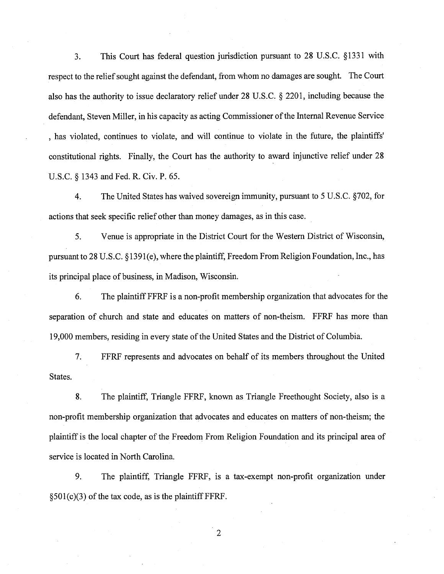3. This Court has federal question jurisdiction pursuant to 28 U.S.C. §1331 with respect to the relief sought against the defendant, from whom no damages are sought. The Court also has the authority to issue declaratory relief under 28 U.S.C. § 2201, including because the defendant, Steven Miller, in his capacity as acting Commissioner of the Internal Revenue Service , has violated, continues to violate, and will continue to violate in the future, the plaintiffs' constitutional rights. Finally, the Court has the authority to award injunctive relief under 28 U.S.C. § 1343 and Fed. R. Civ. P. 65.

4. The United States has waived sovereign immunity, pursuant to 5 U.S.C. §702, for actions that seek specific relief other than money damages, as in this case.

5. Venue is appropriate in the District Court for the Western District of Wisconsin, pursuant to 28 U.S.C. §1391(e), where the plaintiff, Freedom From Religion Foundation, Inc., has its principal place of business, in Madison, Wisconsin.

6. The plaintiff FFRF is a non-profit membership organization that advocates for the separation of church and state and educates on matters of non-theism. FFRF has more than 19,000 members, residing in every state of the United States and the District of Columbia.

7. FFRF represents and advocates on behalf of its members throughout the United States.

8. The plaintiff, Triangle FFRF, known as Triangle Freethought Society, also is a non-profit membership organization that advocates and educates on matters of non-theism; the plaintiff is the local chapter of the Freedom From Religion Foundation and its principal area of service is located in North Carolina.

9. The plaintiff, Triangle FFRF, is a tax-exempt non-profit organization under  $§501(c)(3)$  of the tax code, as is the plaintiff FFRF.

 $\overline{2}$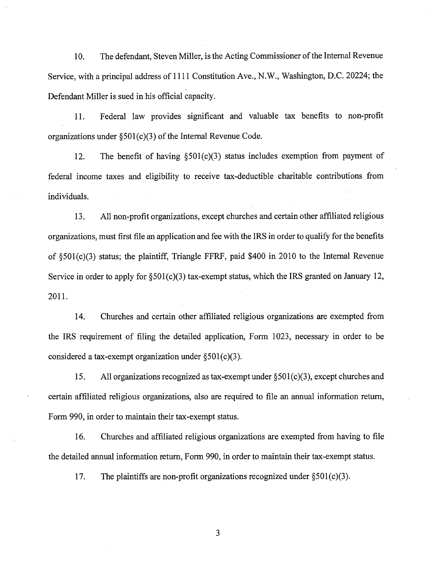10. The defendant, Steven Miller, is the Acting Commissioner of the Internal Revenue Service, with a principal address of 1111 Constitution Ave., N.W., Washington, D.C. 20224; the Defendant Miller is sued in his official capacity.

11. Federal law provides significant and valuable tax benefits to non-profit organizations under §501(c)(3) of the Internal Revenue Code.

12. The benefit of having  $\S501(c)(3)$  status includes exemption from payment of federal income taxes and eligibility to receive tax-deductible charitable contributions from individuals.

13. All non-profit organizations, except churches and certain other affiliated religious organizations, must first file an application and fee with the IRS in order to qualify for the benefits of §501(c)(3) status; the plaintiff, Triangle FFRF, paid \$400 in 2010 to the Internal Revenue Service in order to apply for  $\S501(c)(3)$  tax-exempt status, which the IRS granted on January 12, 2011.

14. Churches and certain other affiliated religious organizations are exempted from the IRS requirement of filing the detailed application, Form 1023, necessary in order to be considered a tax-exempt organization under  $\S501(c)(3)$ .

15. All organizations recognized as tax-exempt under  $\S 501(c)(3)$ , except churches and certain affiliated religious organizations, also are required to file an annual information return, Form 990, in order to maintain their tax-exempt status.

16. Churches and affiliated religious organizations are exempted from having to file the detailed annual information return, Form 990, in order to maintain their tax-exempt status.

17. The plaintiffs are non-profit organizations recognized under  $\S501(c)(3)$ .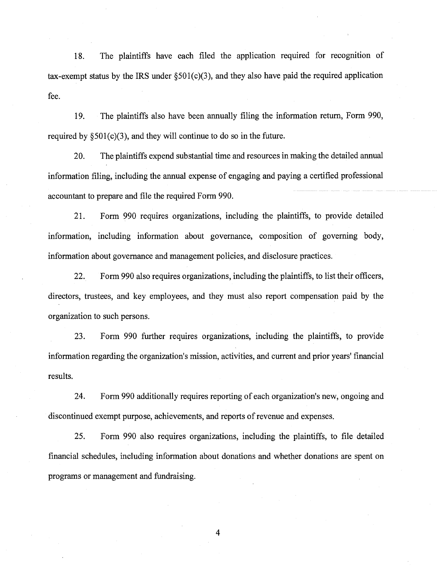18. The plaintiffs have each filed the application required for recognition of tax-exempt status by the IRS under  $\S501(c)(3)$ , and they also have paid the required application fee.

19. The plaintiffs also have been annually filing the information return, Form 990, required by  $\S501(c)(3)$ , and they will continue to do so in the future.

20. The plaintiffs expend substantial time and resources in making the detailed annual information filing, including the annual expense of engaging and paying a certified professional accountant to prepare and file the required Form 990.

21. Form 990 requires organizations, including the plaintiffs, to provide detailed information, including information about governance, composition of governing body, information about governance and management policies, and disclosure practices.

22. Form 990 also requires organizations, including the plaintiffs, to list their officers, directors, trustees, and key employees, and they must also report compensation paid by the organization to such persons.

23. Form 990 further requires organizations, including the plaintiffs, to provide information regarding the organization's mission, activities, and current and prior years' financial results.

24. Form 990 additionally requires reporting of each organization's new, ongoing and discontinued exempt purpose, achievements, and reports of revenue and expenses.

25. Form 990 also requires organizations, including the plaintiffs, to file detailed financial schedules, including information about donations and whether donations are spent on programs or management and fundraising.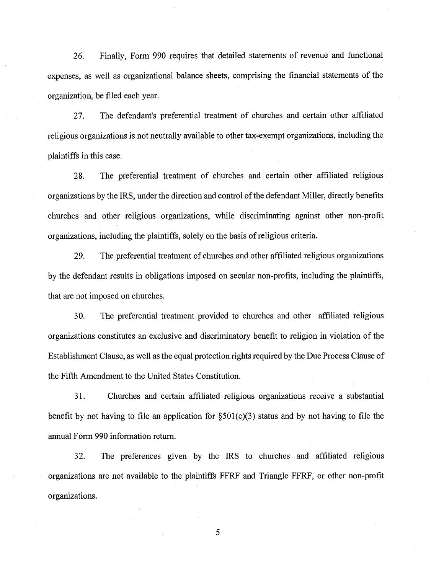26. Finally, Form 990 requires that detailed statements of revenue and functional expenses, as well as organizational balance sheets, comprising the financial statements of the organization, be filed each year.

27. The defendant's preferential treatment of churches and certain other affiliated religious organizations is not neutrally available to other tax-exempt organizations, including the plaintiffs in this case.

28. The preferential treatment of churches and certain other affiliated religious organizations by the IRS, under the direction and control of the defendant Miller, directly benefits churches and other religious organizations, while discriminating against other non-profit organizations, including the plaintiffs, solely on the basis of religious criteria.

29. The preferential treatment of churches and other affiliated religious organizations by the defendant results in obligations imposed on secular non-profits, including the plaintiffs, that are not imposed on churches.

30. The preferential treatment provided to churches and other affiliated religious organizations constitutes an exclusive and discriminatory benefit to religion in violation of the Establishment Clause, as well as the equal protection rights required by the Due Process Clause of the Fifth Amendment to the United States Constitution.

31. Churches and certain affiliated religious organizations receive a substantial benefit by not having to file an application for  $\S501(c)(3)$  status and by not having to file the annual Form 990 information return.

32. The preferences given by the IRS to churches and affiliated religious organizations are not available to the plaintiffs FFRF and Triangle FFRF, or other non-profit organizations.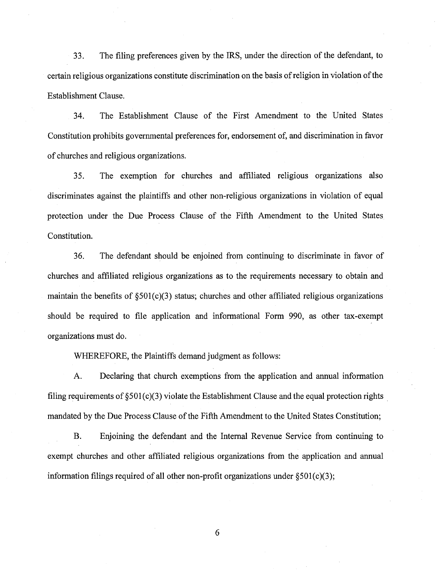33. The filing preferences given by the IRS, under the direction of the defendant, to certain religious organizations constitute discrimination on the basis of religion in violation of the Establishment Clause.

34. The Establishment Clause of the First Amendment to the United States Constitution prohibits governmental preferences for, endorsement of, and discrimination in favor of churches and religious organizations.

35. The exemption for churches and affiliated religious organizations also discriminates against the plaintiffs and other non-religious organizations in violation of equal protection under the Due Process Clause of the Fifth Amendment to the United States Constitution.

36. The defendant should be enjoined from continuing to discriminate in favor of churches and affiliated religious organizations as to the requirements necessary to obtain and maintain the benefits of  $\S501(c)(3)$  status; churches and other affiliated religious organizations should be required to file application and informational Form 990, as other tax-exempt organizations must do.

WHEREFORE, the Plaintiffs demand judgment as follows:

A. Declaring that church exemptions from the application and annual information filing requirements of §501(c)(3) violate the Establishment Clause and the equal protection rights mandated by the Due Process Clause of the Fifth Amendment to the United States Constitution;

B. Enjoining the defendant and the Internal Revenue Service from continuing to exempt churches and other affiliated religious organizations from the application and annual information filings required of all other non-profit organizations under  $\S 501(c)(3)$ ;